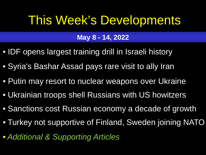# <span id="page-0-0"></span>This Week's Developments

# **May 8 - 14, 2022**

- [IDF opens largest training drill in Israeli history](#page-1-0)
- [Syria's Bashar Assad pays rare visit to ally Iran](#page-2-0)
- [Putin may resort to nuclear weapons over Ukraine](#page-3-0)
- [Ukrainian troops shell Russians with US howitzers](#page-4-0)
- [Sanctions cost Russian economy a decade of growth](#page-5-0)
- [Turkey not supportive of Finland, Sweden joining NATO](#page-6-0)
- *[Additional & Supporting Articles](#page-7-0)*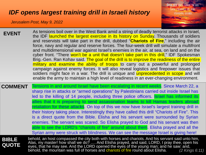#### <span id="page-1-0"></span>*[IDF opens largest training drill in Israeli history](#page-0-0)*

*Jerusalem Post, May 9, 2022*



| <b>EVENT</b>                 | As tensions boil over in the West Bank amid a string of deadly terrorist attacks in Israel,<br>the IDF launched the largest exercise in its history on Sunday. Thousands of soldiers<br>and reservists will take part in the drill, dubbed "Chariots of Fire," including the air<br>force, navy and regular and reserve forces. The four-week drill will simulate a multifront<br>and multidimensional war against Israel's enemies in the air, at sea, on land and on the<br>cyber front. "There won't be a unit that doesn't take part in this drill," IDF Spokesman<br>Brig.-Gen. Ran Kohav said. The goal of the drill is to improve the readiness of the entire<br>military and examine the ability of troops to carry out a powerful and prolonged<br>campaign against enemy forces. It will also reveal logistics and firepower issues that<br>soldiers might face in a war. The drill is unique and <i>unprecedented in scope</i> and will<br>enable the army to maintain a high level of readiness in an ever-changing environment. |
|------------------------------|----------------------------------------------------------------------------------------------------------------------------------------------------------------------------------------------------------------------------------------------------------------------------------------------------------------------------------------------------------------------------------------------------------------------------------------------------------------------------------------------------------------------------------------------------------------------------------------------------------------------------------------------------------------------------------------------------------------------------------------------------------------------------------------------------------------------------------------------------------------------------------------------------------------------------------------------------------------------------------------------------------------------------------------------|
| <b>COMMENT</b>               | Tensions in and around Israel have been escalating in recent weeks. Since March 22, a<br>sharp rise in attacks or "armed operations" by Palestinians carried out inside Israel has<br>led to the killing of 14 people, including three police officers. Israel has informed its<br>allies that it is preparing to send assassination teams to kill Hamas leaders abroad<br>retaliation for these attacks. On top of this we now have Israel's largest training drill in<br>their history taking place. Interestingly they have called this drill "Chariots of Fire". This<br>is a direct quote from the Bible. Elisha and his servant were surrounded by Syrian<br>enemies. The servant was scared. So Elisha prayed to God and his servant was then<br>able to see the LORD's "chariots of fire" around about them. Elisha prayed and all the<br>Syrian army were struck with blindness. We can see the message Israel is giving here!                                                                                                      |
| <b>BIBLE</b><br><b>QUOTE</b> | behold, an host compassed the city both with horses and chariots. And his servant said unto him,<br>Alas, my master! how shall we do?  And Elisha prayed, and said, LORD, I pray thee, open his<br>eyes, that he may see. And the LORD opened the eyes of the young man; and he saw: and,<br>behold, the mountain was full of horses and chariots of fire round about Elisha.<br>(2 Kings 6:11)                                                                                                                                                                                                                                                                                                                                                                                                                                                                                                                                                                                                                                              |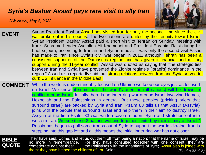#### <span id="page-2-0"></span>*[Syria's Bashar Assad pays rare visit to ally Iran](#page-0-0)*

*DW News, May 8, 2022*



| <b>EVENT</b>                 | Syrian President Bashar Assad has visited Iran for only the second time since the civil<br>war broke out in his country. The two nations are united by their enmity toward Israel.<br>Syrian President Bashar Assad paid a short visit to Tehran on Sunday, meeting with<br>Iran's Supreme Leader Ayatollah Ali Khamenei and President Ebrahim Raisi during his<br>brief sojourn, according to Iranian and Syrian media. It was only the second visit Assad<br>has made to Iran since Syria's civil war began in 2011, although Tehran has been a<br>consistent supporter of the Damascus regime and has given it financial and military<br>support during the 11-year conflict. Assad was quoted as saying that "the strategic ties<br>between Iran and Syria have prevented the Zionist regime's [Israel's] dominance in the<br>region." Assad also reportedly said that strong relations between Iran and Syria served to<br>curb US influence in the Middle East. |
|------------------------------|-----------------------------------------------------------------------------------------------------------------------------------------------------------------------------------------------------------------------------------------------------------------------------------------------------------------------------------------------------------------------------------------------------------------------------------------------------------------------------------------------------------------------------------------------------------------------------------------------------------------------------------------------------------------------------------------------------------------------------------------------------------------------------------------------------------------------------------------------------------------------------------------------------------------------------------------------------------------------|
|                              | <b>COMMENT</b> While the world is understandably focused on Ukraine we keep our eyes just as focused<br>on Israel. We know at some point the world's attention (all nations) will be drawn to<br>conflict around Israel. Initially there is an inner ring war around Israel involving Hamas,<br>Hezbollah and the Palestinians in general. But these peoples (pricking briers that<br>surround Israel) are backed by Syria and Iran. Psalm 83 tells us that Assur (Assyria)<br>joins with the people that surround Israel and help them in their aim to destroy Israel.<br>Assyria at the time Psalm 83 was written covers modern Syria and stretched out into<br>western Iran. We see these 2 nations working together "united by their enmity of Israel."<br>Russia has begun to pull some troops out of Syria to support the war in Ukraine. Iran is<br>stepping into this gap left and all this means the initial inner ring war has got closer                   |
| <b>BIBLE</b><br><b>QUOTE</b> | They have said, Come, and let us cut them off from being a nation; that the name of Israel may be<br>no more in remembrance. For they have consulted together with one consent: they are<br>confederate against thee: ; the Philistines with the inhabitants of Tyre; Assur also is joined with<br>them: they have helped the children of Lot. Selah.<br>(Psalm 83:4-8)                                                                                                                                                                                                                                                                                                                                                                                                                                                                                                                                                                                               |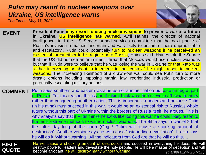### <span id="page-3-0"></span>*[Putin may resort to nuclear weapons over](#page-0-0)  Ukraine, US intelligence warns*

*The Times, May 11, 2022*



| <b>EVENT</b> | President Putin may resort to using nuclear weapons to prevent a war of attrition<br>in Ukraine, US intelligence has warned. Avril Haines, the director of national<br>intelligence, told the US Senate armed services committee that the next phase of<br>Russia's invasion remained uncertain and was likely to become "more unpredictable"<br>and escalatory". Putin could potentially turn to nuclear weapons if he perceived an<br>existential threat either to his regime or to Russia, Haines said. Haines told the Senate<br>that the US did not see an "imminent" threat that Moscow would use nuclear weapons<br>but that if Putin were to believe that he was losing the war in Ukraine or that Nato was<br>"either intervening or about to intervene in that context" he might resort to nuclear<br>weapons. The increasing likelihood of a drawn-out war could see Putin turn to more<br>drastic options including imposing martial law, reorienting industrial production or<br>potentially escalating military actions. |
|--------------|----------------------------------------------------------------------------------------------------------------------------------------------------------------------------------------------------------------------------------------------------------------------------------------------------------------------------------------------------------------------------------------------------------------------------------------------------------------------------------------------------------------------------------------------------------------------------------------------------------------------------------------------------------------------------------------------------------------------------------------------------------------------------------------------------------------------------------------------------------------------------------------------------------------------------------------------------------------------------------------------------------------------------------------|
|              |                                                                                                                                                                                                                                                                                                                                                                                                                                                                                                                                                                                                                                                                                                                                                                                                                                                                                                                                                                                                                                        |
|              | COMMENT Putin sees southern and eastern Ukraine as not another pation but as an integral part                                                                                                                                                                                                                                                                                                                                                                                                                                                                                                                                                                                                                                                                                                                                                                                                                                                                                                                                          |

| <b>COMMENT</b>               | Putin sees southern and eastern Ukraine as not another nation but as an integral part<br>of Russia. For this reason, this is about taking back what he believes is Russia territory<br>rather than conquering another nation. This is important to understand because Putin<br>(in his mind) must succeed in this war. It would be an existential risk to Russia's whole<br>future without this part of Ukraine within the borders of Russia itself, he argues. This is<br>why analysts say that if Putin thinks he looks like losing this war he could likely resort to<br>the most extreme methods to win ie nuclear weapons. The Bible says in Daniel 8 that<br>the latter day king of the north (Gog / Putin) will "cause a shocking amount of<br>destruction". Another version says he will cause "astounding devastation". It also says |
|------------------------------|-----------------------------------------------------------------------------------------------------------------------------------------------------------------------------------------------------------------------------------------------------------------------------------------------------------------------------------------------------------------------------------------------------------------------------------------------------------------------------------------------------------------------------------------------------------------------------------------------------------------------------------------------------------------------------------------------------------------------------------------------------------------------------------------------------------------------------------------------|
|                              | he will do it "without warning". All the indicators from God are that he will do this                                                                                                                                                                                                                                                                                                                                                                                                                                                                                                                                                                                                                                                                                                                                                         |
| <b>BIBLE</b><br><b>QUOTE</b> | He will cause a shocking amount of destruction and succeed in everything he does. He will<br>destroy powerful leaders and devastate the holy people. He will be a master of deception and will<br>become arrogant: he will destroy many without warning.<br>$(D_{\Omega}$                                                                                                                                                                                                                                                                                                                                                                                                                                                                                                                                                                     |

become arrogant; he will destroy many without warning. . *(Daniel 8:24- 25 NLT)*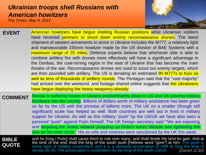## <span id="page-4-0"></span>*[Ukrainian troops shell Russians with](#page-0-0)  American howitzers*

*The Times, May 9, 2022*



| <b>EVENT</b>   | American howitzers have begun shelling Russian positions while Ukrainian soldiers          |
|----------------|--------------------------------------------------------------------------------------------|
|                | have received jammers to shoot down enemy reconnaissance drones. The latest                |
|                | shipment of western armaments to arrive in Ukraine includes the M777, a relatively light   |
|                | and manoeuvrable 155mm howitzer made by the US division of BAE Systems with a              |
|                | maximum range of 25 miles. Defence experts believe that whichever side is able to          |
|                | combine artillery fire with drones more effectively will have a significant advantage in   |
|                | the Donbas, the coal-mining region in the east of Ukraine that has become the main         |
|                | theatre of the war. Reconnaissance drones are used to scout out enemy targets, which       |
|                | are then pounded with artillery. The US is donating an estimated 90 M777s to Kyiv as       |
|                | well as tens of thousands of artillery rounds. The Pentagon said that the "vast majority"  |
|                | had arrived over the weekend, and footage shared online suggests that the Ukrainians       |
|                | have begun deploying the heavy weaponry already.                                           |
| <b>COMMENT</b> | Russia is suffering losses in Ukraine predominantly down to US and UK pouring military     |
|                | hardware into the country. Billions of dollars worth of military assistance has been given |
|                | so far by the US with the promise of billions more. The UK on a smaller (though still      |

so far by the US with the promise of billions more. The UK on a smaller (though still significant) scale has helped as well. Both countries are well out in front in military support for Ukraine. As well as this military "push" by the US/UK we have also seen a personal "push" against Putin himself. The UK foreign secretary said "'We are exposing and targeting the shady network propping up Putin's luxury lifestyle and tightening the vice on his inner circle." His ex wife and mistress were sanctioned by the UK this week.

**BIBLE QUOTE** and he [Gog / Putin] shall cause them to rule over many, and shall divide the land for gain. And at the time of the end shall the king of the south push [Hebrew word "gore"] at him: The push is some type of military provocation and it is a personal provocation of HIM ie Gog the king of verses 36-39. The provocation is undertaken by the king of the south US/UK *(Daniel 11:40)*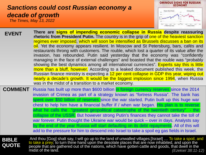# <span id="page-5-0"></span>*[Sanctions could cost Russian economy a](#page-0-0)  decade of growth*

*The Times, May 13, 2022*



| <b>EVENT</b> | There are signs of impending economic collapse in Russia despite reassuring                            |
|--------------|--------------------------------------------------------------------------------------------------------|
|              | rhetoric from President Putin. The country is in the grip of one of the heaviest sanction              |
|              | regimes ever imposed, which will soon be intensified as Brussels discusses a ban on its                |
|              | oil. Yet the economy appears resilient. In Moscow and St Petersburg, bars, cafés and                   |
|              | restaurants throng with customers. The rouble, which lost a quarter of its value after the             |
|              | invasion, has rebounded. Putin said yesterday that the economy was "confidently                        |
|              | managing in the face of external challenges" and boasted that the rouble was "probably                 |
|              | showing the best dynamics among all international currencies". Experts say this is little              |
|              | more than a bluff, however. According to a leaked document published this week, the                    |
|              | Russian finance ministry is expecting a 12 per cent collapse in GDP this year, wiping out              |
|              | nearly a decade's growth. It would be the biggest implosion since 1994, when Russia                    |
|              | was in the midst of a transition to a market economy.                                                  |
|              | <b>COMMENT</b> Russia has built up more than \$600 billion in foreign currency reserves since the 2014 |
|              |                                                                                                        |

invasion of Crimea as part of a strategy known as "fortress Russia". The bank has spent over \$50 billion of reserves since the war started. Putin built up this huge war chest to help him have a financial buffer if / when war began. His plan is to reverse what he calls the "greatest geopolitical catastrophe of the twentieth century" - the collapse of the USSR. But however strong Putin's finances they cannot take the toll of war forever. Putin thought the Ukraine war would be quick – over in days. Analysts say by the end of the year Russia will start defaulting on its debt repayments. All of this will add to the pressure for him to descend into Israel to take a spoil eg gas fields in Israel.

**BIBLE QUOTE**

And thou [Gog] shalt say, I will go up to the land of unwalled villages;[Israel] … To take a spoil, and to take a prey; to turn thine hand upon the desolate places that are now inhabited, and upon the people that are gathered out of the nations, which have gotten cattle and goods, that dwell in the midst of the land. *(Ezekiel 38:11-12)*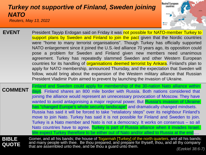#### <span id="page-6-0"></span>*Reuters, May 13, 2022 [Turkey not supportive of Finland, Sweden joining](#page-0-0) NATO*



- **EVENT** President Tayyip Erdogan said on Friday it was not possible for NATO-member Turkey to support plans by Sweden and Finland to join the pact given that the Nordic countries were "home to many terrorist organisations". Though Turkey has officially supported NATO enlargement since it joined the U.S.-led alliance 70 years ago, its opposition could pose a problem for Sweden and Finland given new members need unanimous agreement. Turkey has repeatedly slammed Sweden and other Western European countries for its handling of **organisations deemed terrorist by Ankara**. Finland's plan to apply for NATO membership, announced Thursday, and the expectation that Sweden will follow, would bring about the expansion of the Western military alliance that Russian President Vladimir Putin aimed to prevent by launching the invasion of Ukraine.
- **COMMENT BIBLE QUOTE** Finland and Sweden could apply for membership of the 30-nation Nato alliance within days. Finland shares an 800 mile border with Russia. Both nations considered that joining the alliance would represent an unnecessary provocation of Moscow. They have wanted to avoid antagonising a major regional power. But Russia's invasion of Ukraine has "changed Europe's whole security landscape" and dramatically changed mindsets. Russia has said it will be forced to take "retaliatory steps" over its neighbour Finland's move to join Nato. Turkey has said it is not possible for Finland and Sweden to join. Turkey is a Nato member and Nato is not a democracy. It works on consensus – so all Nato countries have to agree. Turkey is part of Russia alliance when it invades Israel. We expect Turkey therefore to be either out of Nato and/or allied to Russia at the end.... Gomer, and all his bands; the house of Togarmah [Turkey] of the north quarters, and all his bands: and many people with thee. Be thou prepared, and prepare for thyself, thou, and all thy company

that are assembled unto thee, and be thou a guard unto them. *(Ezekiel 38:6-7)*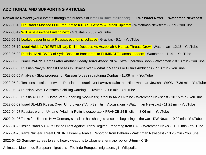#### <span id="page-7-0"></span>**[ADDITIONAL AND SUPPORTING ARTICLES](#page-0-0)**

**DebkaFile Review** [\(world events through the bi-focals of Israeli military intelligence\)](https://www.debka.com/review/) [2022-05-12 Will Russia invade Finland next -](https://www.youtube.com/watch?v=wm1PfiUXF6k) Gravitas - 6.38 - YouTube [2022-05-02 Israel SLAMS Russia Over "Unforgivable" Anti-Semitism Accusations -](https://www.youtube.com/watch?v=8e7IBcszjVg) Watchman Newscast - 11.21 min - YouTube Animated Map - Indo-European migrations - [File-Indo-European migrations.gif -](https://en.wikipedia.org/wiki/File:Indo-European_migrations.gif#/media/File:Indo-European_migrations.gif) Wikipedia 2022-05-05 Analysis - [Slow progress for Russian forces in capturing Donbas -](https://www.youtube.com/watch?v=C2ecZMLTb3M) 11.09 min - YouTube [2022-05-04 Russian State TV issues a chilling warning –](https://www.youtube.com/watch?v=45CEza79Dj0) Gravitas - 3.08 min - YouTube [2022-05-04 Tensions escalate between Russia and Israel over Lavrov's claim that Hitler was part Jewish -](https://www.youtube.com/watch?v=ln3kLKeEnew) WION - 7.36 min - YouTube [2022-04-26 Inside Israel & UAE's United Front Against Iran's Regime; Reporting from UAE -](https://www.youtube.com/watch?v=SUCpAd5Bn3o) Watchman News - 11.00 min - YouTube [2022-05-10 Israel Holds LARGEST Military Drill in Decades As Hezbollah & Hamas Threats Grow -](https://www.youtube.com/watch?v=wmz7AIcQkYA) Watchman - 12.16 - YouTube [2022-05-12 Leaked paper hints at Russia's economic collapse -](https://www.youtube.com/watch?v=Vdx07VkJqfA) Gravitas - 5.14 - YouTube [2022-05-09 Russia HANDOVER of Syria Bases to Iran; Israel to ELIMINATE Hamas Leaders -](https://www.youtube.com/watch?v=MwffUe1SeKE) Watchman - 11.41 - YouTube [2022-05-13 Did Israel's Mossad FOIL Iran Plot to Kill U.S. General & Israeli Diplomat](https://www.youtube.com/watch?v=OpzUYoINIVE) - Watchman Newscast - 8.59 - YouTube [2022-04-25 Germany agrees to send heavy weapons to Ukraine after major policy U-turn -](https://www.cnn.com/2022/04/26/europe/germany-weapons-ukraine-intl/index.html) CNN **[TV-7 Israel News](https://www.youtube.com/watch?v=gzvrBjIeGP4)**  [2022-05-03 Russia ACCUSES Israel of "Supporting Neo-Nazis; Israel to ARM Ukraine -](https://www.youtube.com/watch?v=vNO4W7xcMnk) Watchman Newscast - 10.15 min - YouTube **[Watchman Newscast](https://www.youtube.com/channel/UCD8YGIxFCnVqv-ZGqgtVWAg)**  [2022-05-05 Russian Navy's Biggest Losses In Ukraine War & What It Means For Putin's Ambitions -](https://www.youtube.com/watch?v=1drpf1OTg_Q) 7.13 min - YouTube [2022-04-25 Iran's Nuclear Threat UNITING Israel & Arabia; Reporting from Bahrain -](https://www.youtube.com/watch?v=DGIM4gdMZhQ) Watchman Newscast - 10.26 min - YouTube 2022-04-27 Russia's war on Ukraine- ['Vladimir Putin is desperate' • FRANCE 24 English -](https://www.youtube.com/watch?v=KbxK5CObr-w) 8.06 min - YouTube 2022-04-26 Tanks for Ukraine- [How Germany's position has changed since the beginning of the war -](https://www.youtube.com/watch?v=xq4CtoUafOU) DW News - 10.00 min - YouTube [2022-05-06 Israel WARNS Hamas After Another Deadly Terror Attack; NEW Gaza Operation Soon -](https://www.youtube.com/watch?v=TudI5F9-0s8) Watchman -10.10 min - YouTube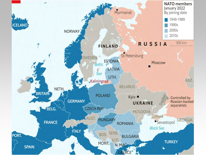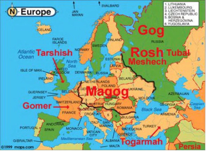